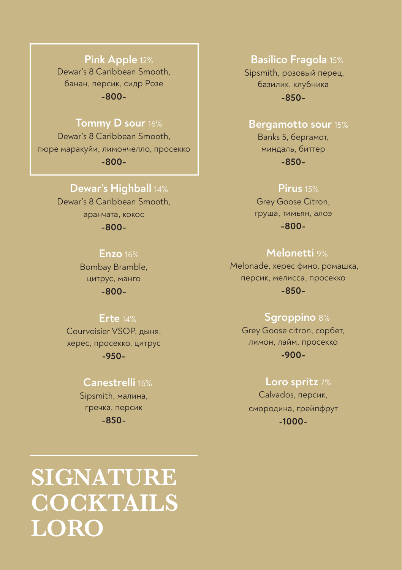# **Pink Apple** 12%

Dewar's 8 Caribbean Smooth, банан, персик, сидр Розе **-800-**

# **Tommy D sour** 16%

Dewar's 8 Caribbean Smooth, пюре маракуйи, лимончелло, просекко **-800-**

# **Dewar's Highball** 14%

Dewar's 8 Caribbean Smooth, аранчата, кокос **-800-**

# **Enzo** 16%

Bombay Bramble, цитрус, манго **-800-**

# **Erte** 14%

Courvoisier VSOP, дыня, херес, просекко, цитрус **-950-**

# **Сanestrelli** 16%

Sipsmith, малина, гречка, персик **-850-**

# **Basilico Fragola** 15%

Sipsmith, розовый перец, базилик, клубника **-850-**

# **Bergamotto sour** 15%

Banks 5, бергамот, миндаль, биттер **-850-**

### **Pirus** 15%

Grey Goose Citron, груша, тимьян, алоэ **-800-**

# **Melonetti** 9%

Melonade, херес фино, ромашка, персик, мелисса, просекко **-850-**

# **Sgroppino** 8%

Grey Goose citron, сорбет, лимон, лайм, просекко **-900-**

# **Loro spritz** 7%

Calvados, персик, смородина, грейпфрут **-1000-**

# **SIGNATURE COCKTAILS LORO**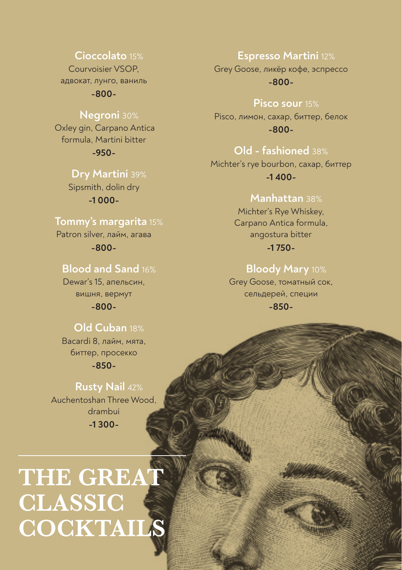# Cioccolato 15%

Courvoisier VSOP адвокат, лунго, ваниль

 $-800-$ 

# **Negroni** 30%

Oxley gin, Carpano Antica formula, Martini bitter  $-950-$ 

Drv Martini 39%

Sipsmith, dolin dry  $-1000-$ 

# Tommy's margarita 15%

Patron silver, лайм, агава  $-800-$ 

# **Blood and Sand 16%**

Dewar's 15, апельсин, вишня, вермут  $-800-$ 

# Old Cuban 18%

Bacardi 8, лайм, мята. биттер, просекко

 $-850-$ 

# **Rusty Nail 42%** Auchentoshan Three Wood. drambui  $-1300-$

# THE GREAT **CLASSIC** COCKTAILS

#### **Espresso Martini 12%**

Grey Goose, ликёр кофе, эспрессо  $-800-$ 

#### Pisco sour 15%

Pisco, лимон, сахар, биттер, белок  $-800-$ 

# Old - fashioned 38%

Michter's rye bourbon, caxap, биттер  $-1,400-$ 

# Manhattan 38%

Michter's Rye Whiskey. Carpano Antica formula, angostura bitter  $-1750-$ 

# Bloody Mary 10%

Grey Goose, томатный сок, сельдерей, специи  $-850-$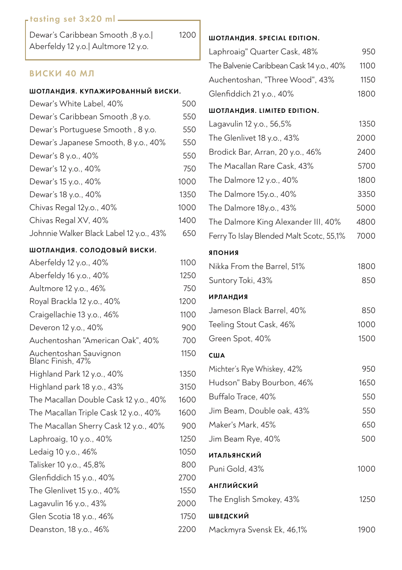# tasting set 3x20 ml

| Dewar's Caribbean Smooth ,8 y.o.     |  |
|--------------------------------------|--|
| Aberfeldy 12 y.o.   Aultmore 12 y.o. |  |

# ВИСКИ 40 МЛ

#### ШОТЛАНДИЯ. КУПАЖИРОВАННЫЙ ВИСКИ.

| Dewar's White Label, 40%                | 500  |
|-----------------------------------------|------|
| Dewar's Caribbean Smooth, 8 y.o.        | 550  |
| Dewar's Portuguese Smooth, 8 y.o.       | 550  |
| Dewar's Japanese Smooth, 8 y.o., 40%    | 550  |
| Dewar's 8 y.o., 40%                     | 550  |
| Dewar's 12 y.o., 40%                    | 750  |
| Dewar's 15 y.o., 40%                    | 1000 |
| Dewar's 18 y.o., 40%                    | 1350 |
| Chivas Regal 12y.o., 40%                | 1000 |
| Chivas Regal XV, 40%                    | 1400 |
| Johnnie Walker Black Label 12 y.o., 43% | 650  |

#### ШОТЛАНДИЯ. СОЛОДОВЫЙ ВИСКИ.

| Aberfeldy 12 y.o., 40%                      | 1100 |
|---------------------------------------------|------|
| Aberfeldy 16 y.o., 40%                      | 1250 |
| Aultmore 12 y.o., 46%                       | 750  |
| Royal Brackla 12 y.o., 40%                  | 1200 |
| Craigellachie 13 y.o., 46%                  | 1100 |
| Deveron 12 y.o., 40%                        | 900  |
| Auchentoshan "American Oak", 40%            | 700  |
| Auchentoshan Sauvignon<br>Blanc Finish, 47% | 1150 |
| Highland Park 12 y.o., 40%                  | 1350 |
| Highland park 18 y.o., 43%                  | 3150 |
| The Macallan Double Cask 12 y.o., 40%       | 1600 |
| The Macallan Triple Cask 12 y.o., 40%       | 1600 |
| The Macallan Sherry Cask 12 y.o., 40%       | 900  |
| Laphroaig, 10 y.o., 40%                     | 1250 |
| Ledaig 10 y.o., 46%                         | 1050 |
| Talisker 10 y.o., 45,8%                     | 800  |
| Glenfiddich 15 y.o., 40%                    | 2700 |
| The Glenlivet 15 y.o., 40%                  | 1550 |
| Lagavulin 16 y.o., 43%                      | 2000 |
| Glen Scotia 18 y.o., 46%                    | 1750 |
| Deanston, 18 y.o., 46%                      | 2200 |

# ШОТЛАНДИЯ. SPECIAL EDITION.

1200

| Laphroaig" Quarter Cask, 48%             | 950  |
|------------------------------------------|------|
| The Balvenie Caribbean Cask 14 y.o., 40% | 1100 |
| Auchentoshan, "Three Wood", 43%          | 1150 |
| Glenfiddich 21 y.o., 40%                 | 1800 |

#### ШОТЛАНДИЯ. LIMITED EDITION.

| Lagavulin 12 y.o., 56,5%                 | 1350 |
|------------------------------------------|------|
| The Glenlivet 18 y.o., 43%               | 2000 |
| Brodick Bar, Arran, 20 y.o., 46%         | 2400 |
| The Macallan Rare Cask, 43%              | 5700 |
| The Dalmore 12 y.o., 40%                 | 1800 |
| The Dalmore 15y.o., 40%                  | 3350 |
| The Dalmore 18y.o., 43%                  | 5000 |
| The Dalmore King Alexander III, 40%      | 4800 |
| Ferry To Islay Blended Malt Scotc, 55,1% | 7000 |
| ЯПОНИЯ                                   |      |
| Nikka From the Barrel, 51%               | 1800 |
| Suntory Toki, 43%                        | 850  |
| <b>ИРЛАНДИЯ</b>                          |      |
| Jameson Black Barrel, 40%                | 850  |
| Teeling Stout Cask, 46%                  | 1000 |
| Green Spot, 40%                          | 1500 |
| США                                      |      |
| Michter's Rye Whiskey, 42%               | 950  |
| Hudson" Baby Bourbon, 46%                | 1650 |
| Buffalo Trace, 40%                       | 550  |
| Jim Beam, Double oak, 43%                | 550  |
| Maker's Mark, 45%                        | 650  |
| Jim Beam Rye, 40%                        | 500  |
| <b>ИТАЛЬЯНСКИЙ</b>                       |      |
| Puni Gold, 43%                           | 1000 |
| <b>АНГЛИЙСКИЙ</b>                        |      |
| The English Smokey, 43%                  | 1250 |
| ШВЕДСКИЙ                                 |      |
| Mackmyra Svensk Ek, 46,1%                | 1900 |
|                                          |      |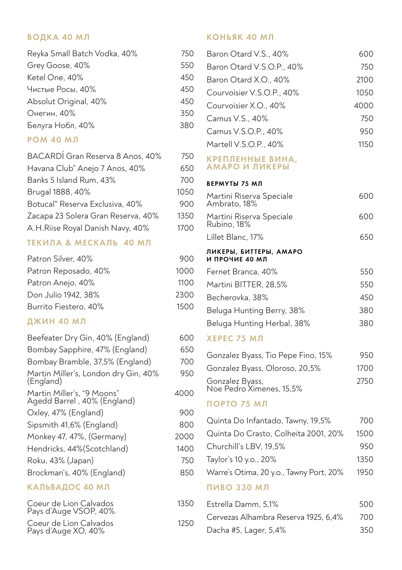#### ВОДКА 40 МЛ

| Reyka Small Batch Vodka, 40% | 750 |
|------------------------------|-----|
| Grey Goose, 40%              | 550 |
| Ketel One, 40%               | 450 |
| Чистые Росы, 40%             | 450 |
| Absolut Original, 40%        | 450 |
| Онегин, 40%                  | 350 |
| Белуга Нобл, 40%             | 380 |

#### **РОМ 40 МЛ**

| BACARDÍ Gran Reserva 8 Anos, 40%   | 750  |
|------------------------------------|------|
| Havana Club" Anejo 7 Anos, 40%     | 650  |
| Banks 5 Island Rum, 43%            | 700  |
| Brugal 1888, 40%                   | 1050 |
| Botucal" Reserva Exclusiva, 40%    | 900  |
| Zacapa 23 Solera Gran Reserva, 40% | 1350 |
| A.H.Riise Royal Danish Navy, 40%   | 1700 |

#### ТЕКИЛА & МЕСКАЛЬ 40 МЛ

| 900  |
|------|
| 1000 |
| 1100 |
| 2300 |
| 1500 |
|      |

# ДЖИН 40 МЛ

| Beefeater Dry Gin, 40% (England)                          | 600  |
|-----------------------------------------------------------|------|
| Bombay Sapphire, 47% (England)                            | 650  |
| Bombay Bramble, 37,5% (England)                           | 700  |
| Martin Miller's, London dry Gin, 40%<br>(England)         | 950  |
| Martin Miller's, "9 Moons"<br>Agedd Barrel, 40% (England) | 4000 |
| Oxley, 47% (England)                                      | 900  |
| Sipsmith 41,6% (England)                                  | 800  |
| Monkey 47, 47%, (Germany)                                 | 2000 |
| Hendricks, 44%(Scotchland)                                | 1400 |
| Roku, 43% (Japan)                                         | 750  |
| Brockman's, 40% (England)                                 | 850  |
| КАЛЬВАДОС 40 МЛ                                           |      |
| Coeur de Lion Calvados<br>Pays d'Auge VSOP, 40%           | 1350 |

Coeur de Lion Calvados<br>Pays d'Auge XO, 40%

### КОНЬЯК 40 МЛ

| Baron Otard V.S., 40%              | 600  |
|------------------------------------|------|
| Baron Otard V.S.O.P., 40%          | 750  |
| Baron Otard X.O., 40%              | 2100 |
| Courvoisier V.S.O.P., 40%          | 1050 |
| Courvoisier X.O., 40%              | 4000 |
| Camus V.S., 40%                    | 750  |
| Camus V.S.O.P., 40%                | 950  |
| Martell V.S.O.P., 40%              | 1150 |
| КРЕПЛЕННЫЕ ВИНА,<br>АМАРО И ПИКЕРЫ |      |

#### ВЕРМУТЫ 75 МЛ

| Martini Riserva Speciale<br>Ambrato, 18% | 600 |
|------------------------------------------|-----|
| Martini Riserva Speciale<br>Rubino, 18%  | 600 |
| Lillet Blanc. 17%                        | 650 |
| ЛИКЕРЫ, БИТТЕРЫ, АМАРО<br>И ПРОЧИЕ 40 МЛ |     |
| Fernet Branca, 40%                       | 550 |
| Martini BITTER, 28.5%                    | 550 |
| Becherovka. 38%                          | 450 |
| Beluga Hunting Berry, 38%                | 380 |
| Beluga Hunting Herbal, 38%               | 380 |

#### **ХЕРЕС 75 МЛ**

| Gonzalez Byass, Tio Pepe Fino, 15%          | 950  |
|---------------------------------------------|------|
| Gonzalez Byass, Oloroso, 20,5%              | 1700 |
| Gonzalez Byass,<br>Noe Pedro Ximenes, 15,5% | 2750 |

# ПОРТО 75 МЛ

| Quinta Do Infantado, Tawny, 19,5%       | 700  |
|-----------------------------------------|------|
| Quinta Do Crasto, Colheita 2001, 20%    | 1500 |
| Churchill's LBV, 19,5%                  | 950  |
| Taylor's 10 y.o., 20%                   | 1350 |
| Warre's Otima, 20 y.o., Tawny Port, 20% | 1950 |
| <b>ПИВО 330 МЛ</b>                      |      |

#### Estrella Damm, 5,1%  $\Omega$ 500 Cervezas Alhambra Reserva 1925, 6,4% 700 1250 Dacha #5, Lager, 5,4% 350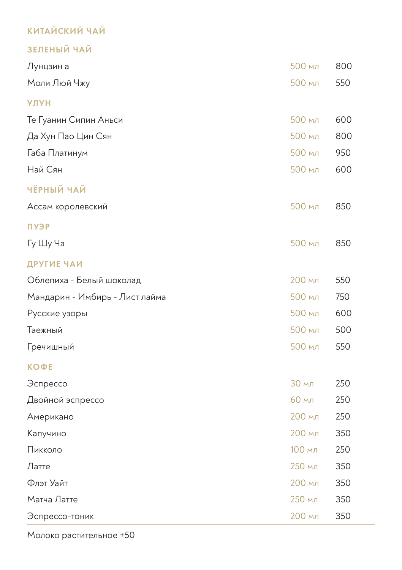# **КИТАЙСКИЙ ЧАЙ**

# ЗЕЛЕНЫЙ ЧАЙ

| Лунцзин а                      | 500 мл | 800 |
|--------------------------------|--------|-----|
| Моли Люй Чжу                   | 500 мл | 550 |
| <b>УЛУН</b>                    |        |     |
| Те Гуанин Сипин Аньси          | 500 мл | 600 |
| Да Хун Пао Цин Сян             | 500 мл | 800 |
| Габа Платинум                  | 500 мл | 950 |
| Най Сян                        | 500 мл | 600 |
| ЧЁРНЫЙ ЧАЙ                     |        |     |
| Ассам королевский              | 500 мл | 850 |
| ПУЭР                           |        |     |
| Гу Шу Ча                       | 500 мл | 850 |
| ДРУГИЕ ЧАИ                     |        |     |
| Облепиха - Белый шоколад       | 200 мл | 550 |
| Мандарин - Имбирь - Лист лайма | 500 мл | 750 |
| Русские узоры                  | 500 мл | 600 |
| Таежный                        | 500 мл | 500 |
| Гречишный                      | 500 мл | 550 |
| <b>КОФЕ</b>                    |        |     |
| Эспрессо                       | 30 мл  | 250 |
| Двойной эспрессо               | 60 мл  | 250 |
| Американо                      | 200 мл | 250 |
| Капучино                       | 200 мл | 350 |
| Пикколо                        | 100 мл | 250 |
| Латте                          | 250 мл | 350 |
| Флэт Уайт                      | 200 мл | 350 |
| Матча Латте                    | 250 мл | 350 |
| Эспрессо-тоник                 | 200 мл | 350 |

Молоко растительное +50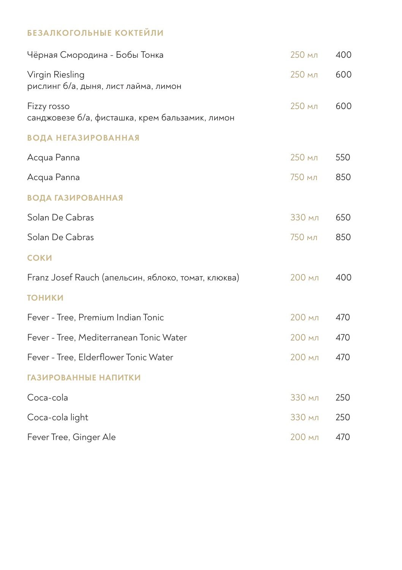# БЕЗАЛКОГОЛЬНЫЕ КОКТЕЙЛИ

| Чёрная Смородина - Бобы Тонка                                  | 250 мл | 400 |
|----------------------------------------------------------------|--------|-----|
| Virgin Riesling<br>рислинг б/а, дыня, лист лайма, лимон        | 250 мл | 600 |
| Fizzy rosso<br>санджовезе б/а, фисташка, крем бальзамик, лимон | 250 мл | 600 |
| <b>ВОДА НЕГАЗИРОВАННАЯ</b>                                     |        |     |
| Acqua Panna                                                    | 250 мл | 550 |
| Acqua Panna                                                    | 750 мл | 850 |
| <b>ВОДА ГАЗИРОВАННАЯ</b>                                       |        |     |
| Solan De Cabras                                                | 330 мл | 650 |
| Solan De Cabras                                                | 750 мл | 850 |
| СОКИ                                                           |        |     |
| Franz Josef Rauch (апельсин, яблоко, томат, клюква)            | 200 мл | 400 |
| <b>ТОНИКИ</b>                                                  |        |     |
| Fever - Tree, Premium Indian Tonic                             | 200 мл | 470 |
| Fever - Tree, Mediterranean Tonic Water                        | 200 мл | 470 |
| Fever - Tree, Elderflower Tonic Water                          | 200 мл | 470 |
| <b>ГАЗИРОВАННЫЕ НАПИТКИ</b>                                    |        |     |
| Coca-cola                                                      | 330 мл | 250 |
| Coca-cola light                                                | 330 мл | 250 |
| Fever Tree, Ginger Ale                                         | 200 мл | 470 |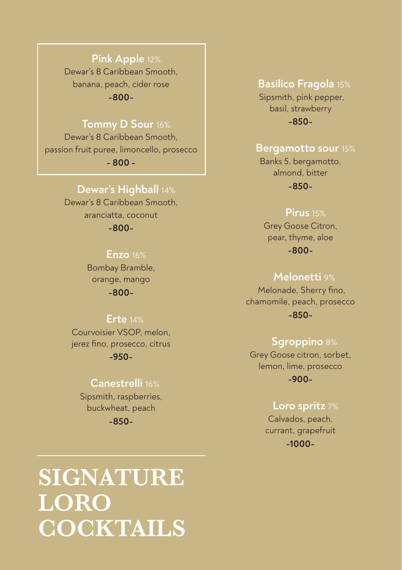# **Pink Apple** 12%

Dewar's 8 Caribbean Smooth, banana, peach, cider rose **-800-**

# **Tommy D Sour** 16%

Dewar's 8 Caribbean Smooth, passion fruit puree, limoncello, prosecco **- 800 -**

 **Dewar's Highball** 14%

Dewar's 8 Caribbean Smooth, aranciatta, coconut **-800-**

### **Enzo** 16%

Bombay Bramble, orange, mango **-800-**

#### **Erte** 14%

Courvoisier VSOP, melon, jerez fino, prosecco, citrus **-950-**

# **Сanestrelli** 16%

Sipsmith, raspberries, buckwheat, peach **-850-**

# **SIGNATURE LORO COCKTAILS**

 **Basilico Fragola** 15% Sipsmith, pink pepper, basil, strawberry **-850-**

#### **Bergamotto sour** 15%

Banks 5, bergamotto, almond, bitter

**-850-**

#### **Pirus** 15%

Grey Goose Citron, pear, thyme, aloe **-800-**

# **Melonetti** 9%

Melonade, Sherry fino, chamomile, peach, prosecco **-850-**

# **Sgroppino** 8%

Grey Goose citron, sorbet, lemon, lime, prosecco **-900-**

## **Loro spritz** 7%

Calvados, peach, currant, grapefruit **-1000-**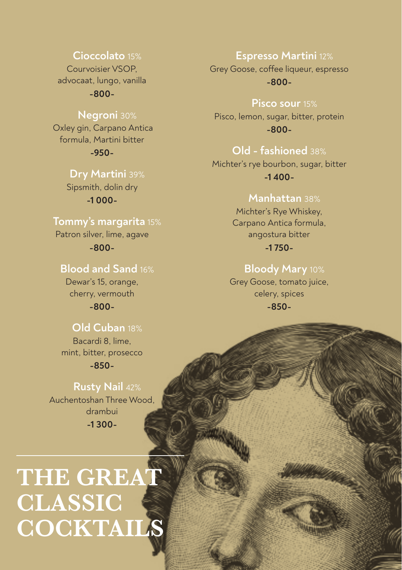# **Cioccolato** 15%

Courvoisier VSOP, advocaat, lungo, vanilla

**-800-**

# **Negroni** 30%

 Oxley gin, Carpano Antica formula, Martini bitter **-950-**

> **Dry Martini** 39% Sipsmith, dolin dry **-1 000-**

# **Tommy's margarita** 15%

Patron silver, lime, agave **-800-**

# **Blood and Sand** 16%

Dewar's 15, orange, cherry, vermouth

**-800-**

# **Old Cuban** 18%

Bacardi 8, lime, mint, bitter, prosecco

**-850-**

 **Rusty Nail** 42% Auchentoshan Three Wood, drambui **-1 300-**

# **THE GREAT CLASSIC COCKTAILS**

# **Espresso Martini** 12%

Grey Goose, coffee liqueur, espresso **-800-**

 **Pisco sour** 15%

Pisco, lemon, sugar, bitter, protein **-800-**

# **Old - fashioned** 38%

Michter's rye bourbon, sugar, bitter **-1 400-**

# **Manhattan** 38%

Michter's Rye Whiskey, Carpano Antica formula, angostura bitter **-1 750-**

# **Bloody Mary** 10%

Grey Goose, tomato juice, celery, spices **-850-**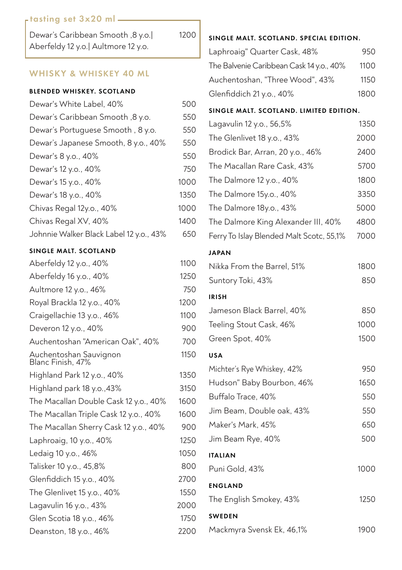# tasting set 3x20 ml

| Dewar's Caribbean Smooth ,8 y.o.     |  |
|--------------------------------------|--|
| Aberfeldy 12 y.o.   Aultmore 12 y.o. |  |

1200

#### WHISKY & WHISKEY 40 ML

#### BLENDED WHISKEY. SCOTLAND

| Dewar's White Label, 40%                | 500  |
|-----------------------------------------|------|
| Dewar's Caribbean Smooth, 8 y.o.        | 550  |
| Dewar's Portuguese Smooth, 8 y.o.       | 550  |
| Dewar's Japanese Smooth, 8 y.o., 40%    | 550  |
| Dewar's 8 y.o., 40%                     | 550  |
| Dewar's 12 y.o., 40%                    | 750  |
| Dewar's 15 y.o., 40%                    | 1000 |
| Dewar's 18 y.o., 40%                    | 1350 |
| Chivas Regal 12y.o., 40%                | 1000 |
| Chivas Regal XV, 40%                    | 1400 |
| Johnnie Walker Black Label 12 y.o., 43% | 650  |

#### SINGLE MALT. SCOTLAND

| Aberfeldy 12 y.o., 40%                      | 1100 |
|---------------------------------------------|------|
| Aberfeldy 16 y.o., 40%                      | 1250 |
| Aultmore 12 y.o., 46%                       | 750  |
| Royal Brackla 12 y.o., 40%                  | 1200 |
| Craigellachie 13 y.o., 46%                  | 1100 |
| Deveron 12 y.o., 40%                        | 900  |
| Auchentoshan "American Oak", 40%            | 700  |
| Auchentoshan Sauvignon<br>Blanc Finish, 47% | 1150 |
| Highland Park 12 y.o., 40%                  | 1350 |
| Highland park 18 y.o., 43%                  | 3150 |
| The Macallan Double Cask 12 y.o., 40%       | 1600 |
| The Macallan Triple Cask 12 y.o., 40%       | 1600 |
| The Macallan Sherry Cask 12 y.o., 40%       | 900  |
| Laphroaig, 10 y.o., 40%                     | 1250 |
| Ledaig 10 y.o., 46%                         | 1050 |
| Talisker 10 y.o., 45,8%                     | 800  |
| Glenfiddich 15 y.o., 40%                    | 2700 |
| The Glenlivet 15 y.o., 40%                  | 1550 |
| Lagavulin 16 y.o., 43%                      | 2000 |
| Glen Scotia 18 y.o., 46%                    | 1750 |
| Deanston, 18 y.o., 46%                      | 2200 |

#### SINGLE MALT. SCOTLAND. SPECIAL EDITION.

| Laphroaig" Quarter Cask, 48%             | 950  |
|------------------------------------------|------|
| The Balvenie Caribbean Cask 14 y.o., 40% | 1100 |
| Auchentoshan, "Three Wood", 43%          | 1150 |
| Glenfiddich 21 y.o., 40%                 | 1800 |

#### SINGLE MALT. SCOTLAND. LIMITED EDITION.

| Lagavulin 12 y.o., 56,5%                 | 1350 |
|------------------------------------------|------|
| The Glenlivet 18 y.o., 43%               | 2000 |
| Brodick Bar, Arran, 20 y.o., 46%         | 2400 |
| The Macallan Rare Cask, 43%              | 5700 |
| The Dalmore 12 y.o., 40%                 | 1800 |
| The Dalmore 15y.o., 40%                  | 3350 |
| The Dalmore 18y.o., 43%                  | 5000 |
| The Dalmore King Alexander III, 40%      | 4800 |
| Ferry To Islay Blended Malt Scotc, 55,1% | 7000 |
| <b>JAPAN</b>                             |      |
| Nikka From the Barrel, 51%               | 1800 |
| Suntory Toki, 43%                        | 850  |
| <b>IRISH</b>                             |      |
| Jameson Black Barrel, 40%                | 850  |
| Teeling Stout Cask, 46%                  | 1000 |
| Green Spot, 40%                          | 1500 |
| <b>USA</b>                               |      |
| Michter's Rye Whiskey, 42%               | 950  |
| Hudson" Baby Bourbon, 46%                | 1650 |
| Buffalo Trace, 40%                       | 550  |
| Jim Beam, Double oak, 43%                | 550  |
| Maker's Mark, 45%                        | 650  |
| Jim Beam Rye, 40%                        | 500  |
| <b>ITALIAN</b>                           |      |
| Puni Gold, 43%                           | 1000 |
| <b>ENGLAND</b>                           |      |
| The English Smokey, 43%                  | 1250 |
| <b>SWEDEN</b>                            |      |
| Mackmyra Svensk Ek, 46,1%                | 1900 |
|                                          |      |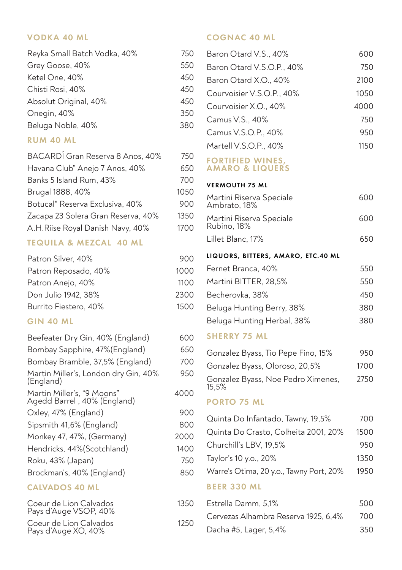#### VODKA 40 ML

| Reyka Small Batch Vodka, 40% | 750 |
|------------------------------|-----|
| Grey Goose, 40%              | 550 |
| Ketel One, 40%               | 450 |
| Chisti Rosi, 40%             | 450 |
| Absolut Original, 40%        | 450 |
| Onegin, 40%                  | 350 |
| Beluga Noble, 40%            | 380 |

#### RUM 40 ML

| BACARDÍ Gran Reserva 8 Anos, 40%   | 750  |
|------------------------------------|------|
| Havana Club" Anejo 7 Anos, 40%     | 650  |
| Banks 5 Island Rum, 43%            | 700  |
| Brugal 1888, 40%                   | 1050 |
| Botucal" Reserva Exclusiva, 40%    | 900  |
| Zacapa 23 Solera Gran Reserva, 40% | 1350 |
| A.H.Riise Royal Danish Navy, 40%   | 1700 |
|                                    |      |

## TEQUILA & MEZCAL 40 ML

| 900  |
|------|
| 1000 |
| 1100 |
| 2300 |
| 1500 |
|      |

# GIN 40 ML

| Beefeater Dry Gin, 40% (England)                          | 600  |
|-----------------------------------------------------------|------|
| Bombay Sapphire, 47%(England)                             | 650  |
| Bombay Bramble, 37,5% (England)                           | 700  |
| Martin Miller's, London dry Gin, 40%<br>(England)         | 950  |
| Martin Miller's, "9 Moons"<br>Agedd Barrel, 40% (England) | 4000 |
| Oxley, 47% (England)                                      | 900  |
| Sipsmith 41,6% (England)                                  | 800  |
| Monkey 47, 47%, (Germany)                                 | 2000 |
| Hendricks, 44% (Scotchland)                               | 1400 |
| Roku, 43% (Japan)                                         | 750  |
| Brockman's, 40% (England)                                 | 850  |
| <b>CALVADOS 40 ML</b>                                     |      |
| Coeur de Lion Calvados<br>Pays d'Auge VSOP, 40%           | 1350 |

1250

Coeur de Lion Calvados Pays d'Auge XO, 40%

# COGNAC 40 ML

| Baron Otard V.S., 40%                                 | 600  |
|-------------------------------------------------------|------|
| Baron Otard V.S.O.P., 40%                             | 750  |
| Baron Otard X.O., 40%                                 | 2100 |
| Courvoisier V.S.O.P., 40%                             | 1050 |
| Courvoisier X.O., 40%                                 | 4000 |
| Camus V.S., 40%                                       | 750  |
| Camus V.S.O.P., 40%                                   | 950  |
| Martell V.S.O.P., 40%                                 | 1150 |
| <b>FORTIFIED WINES,</b><br><b>AMARO &amp; LIQUERS</b> |      |
| <b>VERMOUTH 75 ML</b>                                 |      |
| Martini Riserva Speciale<br>Ambrato, 18%              | 600  |
| Martini Riserva Speciale<br>Rubino, 18%               | 600  |
| Lillet Blanc, 17%                                     | 650  |
| LIQUORS, BITTERS, AMARO, ETC.40 ML                    |      |
| Fernet Branca, 40%                                    | 550  |
| Martini BITTER, 28,5%                                 | 550  |
| Becherovka, 38%                                       | 450  |
| Beluga Hunting Berry, 38%                             | 380  |
| Beluga Hunting Herbal, 38%                            | 380  |
| <b>SHERRY 75 ML</b>                                   |      |
| Gonzalez Byass, Tio Pepe Fino, 15%                    | 950  |
| Gonzalez Byass, Oloroso, 20,5%                        | 1700 |
| Gonzalez Byass, Noe Pedro Ximenes,<br>15,5%           | 2750 |
| <b>PORTO 75 ML</b>                                    |      |
| Quinta Do Infantado, Tawny, 19,5%                     | 700  |
| Quinta Do Crasto, Colheita 2001, 20%                  | 1500 |
| Churchill's LBV, 19,5%                                | 950  |
| Taylor's 10 y.o., 20%                                 | 1350 |
| Warre's Otima, 20 y.o., Tawny Port, 20%               | 1950 |
| <b>BEER 330 ML</b>                                    |      |
| Estrella Damm, 5,1%                                   | 500  |

Cervezas Alhambra Reserva 1925, 6,4% 700 Dacha #5, Lager, 5,4% 350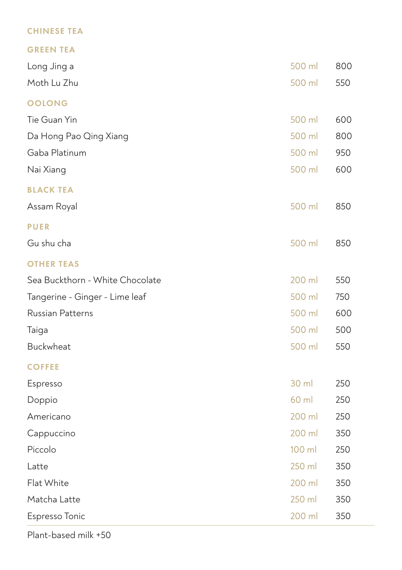# CHINESE TEA

GREEN TEA

| Long Jing a                     | 500 ml          | 800 |
|---------------------------------|-----------------|-----|
| Moth Lu Zhu                     | 500 ml          | 550 |
| <b>OOLONG</b>                   |                 |     |
| Tie Guan Yin                    | 500 ml          | 600 |
| Da Hong Pao Qing Xiang          | 500 ml          | 800 |
| Gaba Platinum                   | 500 ml          | 950 |
| Nai Xiang                       | 500 ml          | 600 |
| <b>BLACK TEA</b>                |                 |     |
| Assam Royal                     | 500 ml          | 850 |
| <b>PUER</b>                     |                 |     |
| Gu shu cha                      | 500 ml          | 850 |
| <b>OTHER TEAS</b>               |                 |     |
| Sea Buckthorn - White Chocolate | 200 ml          | 550 |
| Tangerine - Ginger - Lime leaf  | 500 ml          | 750 |
| <b>Russian Patterns</b>         | 500 ml          | 600 |
| Taiga                           | 500 ml          | 500 |
| Buckwheat                       | 500 ml          | 550 |
| <b>COFFEE</b>                   |                 |     |
| Espresso                        | $30 \mathrm{m}$ | 250 |
| Doppio                          | 60 ml           | 250 |
| Americano                       | 200 ml          | 250 |
| Cappuccino                      | 200 ml          | 350 |
| Piccolo                         | 100 ml          | 250 |
| Latte                           | 250 ml          | 350 |
| Flat White                      | 200 ml          | 350 |
| Matcha Latte                    | 250 ml          | 350 |
| Espresso Tonic                  | 200 ml          | 350 |

Plant-based milk +50